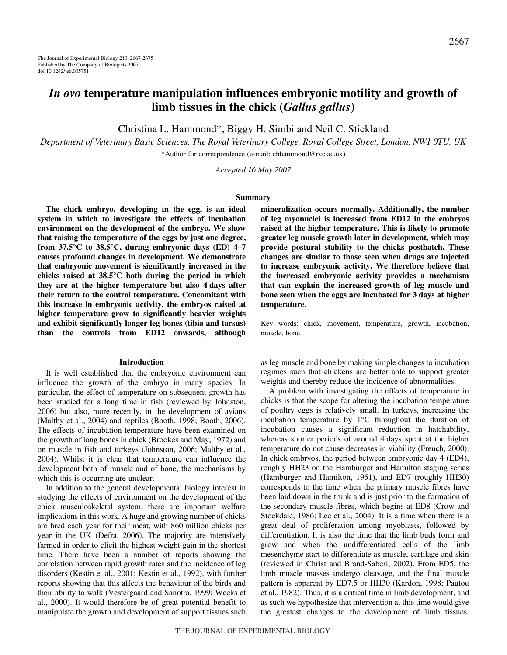# *In ovo* **temperature manipulation influences embryonic motility and growth of limb tissues in the chick (***Gallus gallus***)**

Christina L. Hammond\*, Biggy H. Simbi and Neil C. Stickland

*Department of Veterinary Basic Sciences, The Royal Veterinary College, Royal College Street, London, NW1 0TU, UK* \*Author for correspondence (e-mail: chhammond@rvc.ac.uk)

*Accepted 16 May 2007*

#### **Summary**

**The chick embryo, developing in the egg, is an ideal system in which to investigate the effects of incubation environment on the development of the embryo. We show that raising the temperature of the eggs by just one degree, from 37.5°C to 38.5°C, during embryonic days (ED) 4–7 causes profound changes in development. We demonstrate that embryonic movement is significantly increased in the chicks raised at 38.5°C both during the period in which** they are at the higher temperature but also 4 days after **their return to the control temperature. Concomitant with this increase in embryonic activity, the embryos raised at higher temperature grow to significantly heavier weights and exhibit significantly longer leg bones (tibia and tarsus) than the controls from ED12 onwards, although**

#### **Introduction**

It is well established that the embryonic environment can influence the growth of the embryo in many species. In particular, the effect of temperature on subsequent growth has been studied for a long time in fish (reviewed by Johnston, 2006) but also, more recently, in the development of avians (Maltby et al., 2004) and reptiles (Booth, 1998; Booth, 2006). The effects of incubation temperature have been examined on the growth of long bones in chick (Brookes and May, 1972) and on muscle in fish and turkeys (Johnston, 2006; Maltby et al., 2004). Whilst it is clear that temperature can influence the development both of muscle and of bone, the mechanisms by which this is occurring are unclear.

In addition to the general developmental biology interest in studying the effects of environment on the development of the chick musculoskeletal system, there are important welfare implications in this work. A huge and growing number of chicks are bred each year for their meat, with 860 million chicks per year in the UK (Defra, 2006). The majority are intensively farmed in order to elicit the highest weight gain in the shortest time. There have been a number of reports showing the correlation between rapid growth rates and the incidence of leg disorders (Kestin et al., 2001; Kestin et al., 1992), with further reports showing that this affects the behaviour of the birds and their ability to walk (Vestergaard and Sanotra, 1999; Weeks et al., 2000). It would therefore be of great potential benefit to manipulate the growth and development of support tissues such **mineralization occurs normally. Additionally, the number of leg myonuclei is increased from ED12 in the embryos raised at the higher temperature. This is likely to promote greater leg muscle growth later in development, which may provide postural stability to the chicks posthatch. These changes are similar to those seen when drugs are injected to increase embryonic activity. We therefore believe that the increased embryonic activity provides a mechanism that can explain the increased growth of leg muscle and bone seen when the eggs are incubated for 3·days at higher temperature.**

Key words: chick, movement, temperature, growth, incubation, muscle, bone.

as leg muscle and bone by making simple changes to incubation regimes such that chickens are better able to support greater weights and thereby reduce the incidence of abnormalities.

A problem with investigating the effects of temperature in chicks is that the scope for altering the incubation temperature of poultry eggs is relatively small. In turkeys, increasing the incubation temperature by 1°C throughout the duration of incubation causes a significant reduction in hatchability, whereas shorter periods of around 4 days spent at the higher temperature do not cause decreases in viability (French, 2000). In chick embryos, the period between embryonic day 4 (ED4), roughly HH23 on the Hamburger and Hamilton staging series (Hamburger and Hamilton, 1951), and ED7 (roughly HH30) corresponds to the time when the primary muscle fibres have been laid down in the trunk and is just prior to the formation of the secondary muscle fibres, which begins at ED8 (Crow and Stockdale, 1986; Lee et al., 2004). It is a time when there is a great deal of proliferation among myoblasts, followed by differentiation. It is also the time that the limb buds form and grow and when the undifferentiated cells of the limb mesenchyme start to differentiate as muscle, cartilage and skin (reviewed in Christ and Brand-Saberi, 2002). From ED5, the limb muscle masses undergo cleavage, and the final muscle pattern is apparent by ED7.5 or HH30 (Kardon, 1998; Pautou et al., 1982). Thus, it is a critical time in limb development, and as such we hypothesize that intervention at this time would give the greatest changes to the development of limb tissues.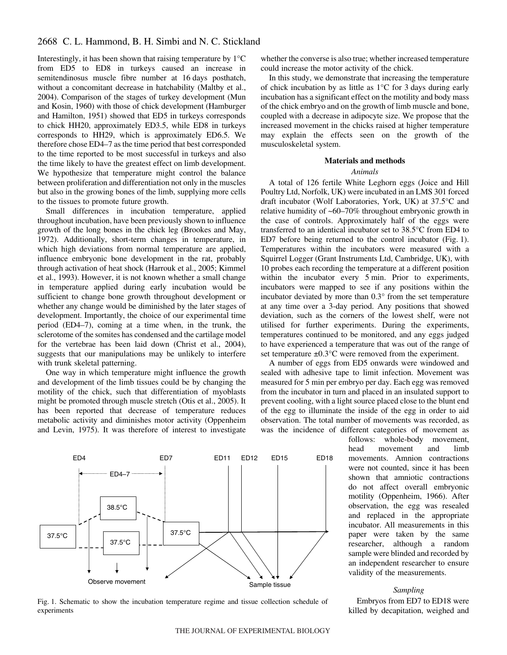Interestingly, it has been shown that raising temperature by  $1^{\circ}C$ from ED5 to ED8 in turkeys caused an increase in semitendinosus muscle fibre number at 16 days posthatch, without a concomitant decrease in hatchability (Maltby et al., 2004). Comparison of the stages of turkey development (Mun and Kosin, 1960) with those of chick development (Hamburger and Hamilton, 1951) showed that ED5 in turkeys corresponds to chick HH20, approximately ED3.5, while ED8 in turkeys corresponds to HH29, which is approximately ED6.5. We therefore chose ED4–7 as the time period that best corresponded to the time reported to be most successful in turkeys and also the time likely to have the greatest effect on limb development. We hypothesize that temperature might control the balance between proliferation and differentiation not only in the muscles but also in the growing bones of the limb, supplying more cells to the tissues to promote future growth.

Small differences in incubation temperature, applied throughout incubation, have been previously shown to influence growth of the long bones in the chick leg (Brookes and May, 1972). Additionally, short-term changes in temperature, in which high deviations from normal temperature are applied, influence embryonic bone development in the rat, probably through activation of heat shock (Harrouk et al., 2005; Kimmel et al., 1993). However, it is not known whether a small change in temperature applied during early incubation would be sufficient to change bone growth throughout development or whether any change would be diminished by the later stages of development. Importantly, the choice of our experimental time period (ED4–7), coming at a time when, in the trunk, the sclerotome of the somites has condensed and the cartilage model for the vertebrae has been laid down (Christ et al., 2004), suggests that our manipulations may be unlikely to interfere with trunk skeletal patterning.

One way in which temperature might influence the growth and development of the limb tissues could be by changing the motility of the chick, such that differentiation of myoblasts might be promoted through muscle stretch (Otis et al., 2005). It has been reported that decrease of temperature reduces metabolic activity and diminishes motor activity (Oppenheim and Levin, 1975). It was therefore of interest to investigate



Fig. 1. Schematic to show the incubation temperature regime and tissue collection schedule of experiments

whether the converse is also true; whether increased temperature could increase the motor activity of the chick.

In this study, we demonstrate that increasing the temperature of chick incubation by as little as  $1^{\circ}$ C for 3 days during early incubation has a significant effect on the motility and body mass of the chick embryo and on the growth of limb muscle and bone, coupled with a decrease in adipocyte size. We propose that the increased movement in the chicks raised at higher temperature may explain the effects seen on the growth of the musculoskeletal system.

## **Materials and methods**

# *Animals*

A total of 126 fertile White Leghorn eggs (Joice and Hill Poultry Ltd, Norfolk, UK) were incubated in an LMS 301 forced draft incubator (Wolf Laboratories, York, UK) at 37.5°C and relative humidity of ~60–70% throughout embryonic growth in the case of controls. Approximately half of the eggs were transferred to an identical incubator set to 38.5°C from ED4 to ED7 before being returned to the control incubator (Fig. 1). Temperatures within the incubators were measured with a Squirrel Logger (Grant Instruments Ltd, Cambridge, UK), with 10 probes each recording the temperature at a different position within the incubator every 5 min. Prior to experiments, incubators were mapped to see if any positions within the incubator deviated by more than 0.3° from the set temperature at any time over a 3-day period. Any positions that showed deviation, such as the corners of the lowest shelf, were not utilised for further experiments. During the experiments, temperatures continued to be monitored, and any eggs judged to have experienced a temperature that was out of the range of set temperature  $\pm 0.3$ °C were removed from the experiment.

A number of eggs from ED5 onwards were windowed and sealed with adhesive tape to limit infection. Movement was measured for 5 min per embryo per day. Each egg was removed from the incubator in turn and placed in an insulated support to prevent cooling, with a light source placed close to the blunt end of the egg to illuminate the inside of the egg in order to aid observation. The total number of movements was recorded, as was the incidence of different categories of movement as

> follows: whole-body movement, head movement and limb movements. Amnion contractions were not counted, since it has been shown that amniotic contractions do not affect overall embryonic motility (Oppenheim, 1966). After observation, the egg was resealed and replaced in the appropriate incubator. All measurements in this paper were taken by the same researcher, although a random sample were blinded and recorded by an independent researcher to ensure validity of the measurements.

#### *Sampling*

Embryos from ED7 to ED18 were killed by decapitation, weighed and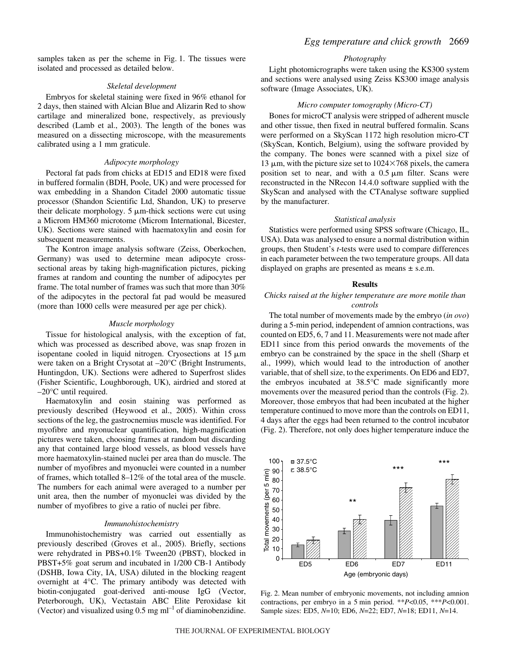samples taken as per the scheme in Fig. 1. The tissues were isolated and processed as detailed below.

#### *Skeletal development*

Embryos for skeletal staining were fixed in 96% ethanol for 2 days, then stained with Alcian Blue and Alizarin Red to show cartilage and mineralized bone, respectively, as previously described (Lamb et al., 2003). The length of the bones was measured on a dissecting microscope, with the measurements calibrated using a 1 mm graticule.

## *Adipocyte morphology*

Pectoral fat pads from chicks at ED15 and ED18 were fixed in buffered formalin (BDH, Poole, UK) and were processed for wax embedding in a Shandon Citadel 2000 automatic tissue processor (Shandon Scientific Ltd, Shandon, UK) to preserve their delicate morphology.  $5 \mu$ m-thick sections were cut using a Microm HM360 microtome (Microm International, Bicester, UK). Sections were stained with haematoxylin and eosin for subsequent measurements.

The Kontron image analysis software (Zeiss, Oberkochen, Germany) was used to determine mean adipocyte crosssectional areas by taking high-magnification pictures, picking frames at random and counting the number of adipocytes per frame. The total number of frames was such that more than 30% of the adipocytes in the pectoral fat pad would be measured (more than 1000 cells were measured per age per chick).

#### *Muscle morphology*

Tissue for histological analysis, with the exception of fat, which was processed as described above, was snap frozen in isopentane cooled in liquid nitrogen. Cryosections at  $15 \mu m$ were taken on a Bright Crysotat at –20°C (Bright Instruments, Huntingdon, UK). Sections were adhered to Superfrost slides (Fisher Scientific, Loughborough, UK), airdried and stored at –20°C until required.

Haematoxylin and eosin staining was performed as previously described (Heywood et al., 2005). Within cross sections of the leg, the gastrocnemius muscle was identified. For myofibre and myonuclear quantification, high-magnification pictures were taken, choosing frames at random but discarding any that contained large blood vessels, as blood vessels have more haematoxylin-stained nuclei per area than do muscle. The number of myofibres and myonuclei were counted in a number of frames, which totalled 8–12% of the total area of the muscle. The numbers for each animal were averaged to a number per unit area, then the number of myonuclei was divided by the number of myofibres to give a ratio of nuclei per fibre.

## *Immunohistochemistry*

Immunohistochemistry was carried out essentially as previously described (Groves et al., 2005). Briefly, sections were rehydrated in PBS+0.1% Tween20 (PBST), blocked in PBST+5% goat serum and incubated in 1/200 CB-1 Antibody (DSHB, Iowa City, IA, USA) diluted in the blocking reagent overnight at 4°C. The primary antibody was detected with biotin-conjugated goat-derived anti-mouse IgG (Vector, Peterborough, UK), Vectastain ABC Elite Peroxidase kit (Vector) and visualized using  $0.5~\text{mg}~\text{ml}^{-1}$  of diaminobenzidine.

## *Photography*

Light photomicrographs were taken using the KS300 system and sections were analysed using Zeiss KS300 image analysis software (Image Associates, UK).

### *Micro computer tomography (Micro-CT)*

Bones for microCT analysis were stripped of adherent muscle and other tissue, then fixed in neutral buffered formalin. Scans were performed on a SkyScan 1172 high resolution micro-CT (SkyScan, Kontich, Belgium), using the software provided by the company. The bones were scanned with a pixel size of 13  $\mu$ m, with the picture size set to 1024×768 pixels, the camera position set to near, and with a  $0.5 \mu m$  filter. Scans were reconstructed in the NRecon 14.4.0 software supplied with the SkyScan and analysed with the CTAnalyse software supplied by the manufacturer.

#### *Statistical analysis*

Statistics were performed using SPSS software (Chicago, IL, USA). Data was analysed to ensure a normal distribution within groups, then Student's *t*-tests were used to compare differences in each parameter between the two temperature groups. All data displayed on graphs are presented as means  $\pm$  s.e.m.

#### **Results**

#### *Chicks raised at the higher temperature are more motile than controls*

The total number of movements made by the embryo (*in ovo*) during a 5-min period, independent of amnion contractions, was counted on ED5, 6, 7 and 11. Measurements were not made after ED11 since from this period onwards the movements of the embryo can be constrained by the space in the shell (Sharp et al., 1999), which would lead to the introduction of another variable, that of shell size, to the experiments. On ED6 and ED7, the embryos incubated at 38.5°C made significantly more movements over the measured period than the controls (Fig. 2). Moreover, those embryos that had been incubated at the higher temperature continued to move more than the controls on ED11, 4·days after the eggs had been returned to the control incubator (Fig. 2). Therefore, not only does higher temperature induce the



Fig. 2. Mean number of embryonic movements, not including amnion contractions, per embryo in a 5 min period. \*\* $P<0.05$ , \*\* $P<0.001$ . Sample sizes: ED5, *N*=10; ED6, *N*=22; ED7, *N*=18; ED11, *N*=14.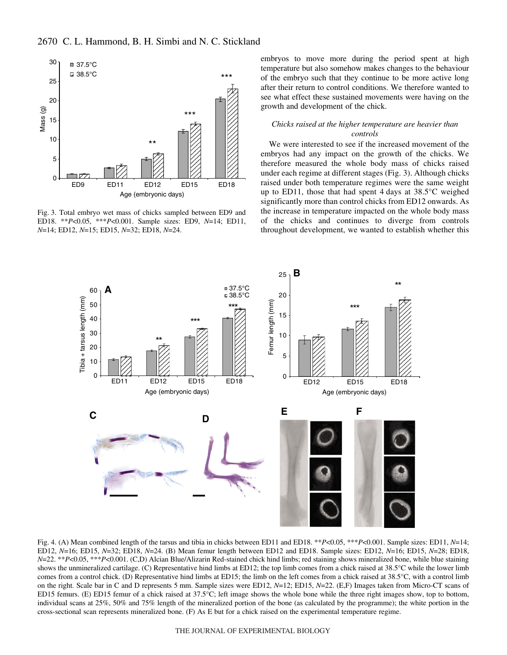

Fig. 3. Total embryo wet mass of chicks sampled between ED9 and ED18. \*\**P*<0.05, \*\*\**P*<0.001. Sample sizes: ED9, *N*=14; ED11, *N*=14; ED12, *N*=15; ED15, *N*=32; ED18, *N*=24.

embryos to move more during the period spent at high temperature but also somehow makes changes to the behaviour of the embryo such that they continue to be more active long after their return to control conditions. We therefore wanted to see what effect these sustained movements were having on the growth and development of the chick.

#### *Chicks raised at the higher temperature are heavier than controls*

We were interested to see if the increased movement of the embryos had any impact on the growth of the chicks. We therefore measured the whole body mass of chicks raised under each regime at different stages (Fig. 3). Although chicks raised under both temperature regimes were the same weight up to ED11, those that had spent 4 days at  $38.5^{\circ}$ C weighed significantly more than control chicks from ED12 onwards. As the increase in temperature impacted on the whole body mass of the chicks and continues to diverge from controls throughout development, we wanted to establish whether this



Fig. 4. (A) Mean combined length of the tarsus and tibia in chicks between ED11 and ED18. \*\**P*<0.05, \*\*\**P*<0.001. Sample sizes: ED11, *N*=14; ED12, *N*=16; ED15, *N*=32; ED18, *N*=24. (B) Mean femur length between ED12 and ED18. Sample sizes: ED12, *N*=16; ED15, *N*=28; ED18, *N*=22. \*\**P*<0.05, \*\*\**P*<0.001. (C,D) Alcian Blue/Alizarin Red-stained chick hind limbs; red staining shows mineralized bone, while blue staining shows the unmineralized cartilage. (C) Representative hind limbs at ED12; the top limb comes from a chick raised at 38.5°C while the lower limb comes from a control chick. (D) Representative hind limbs at ED15; the limb on the left comes from a chick raised at 38.5°C, with a control limb on the right. Scale bar in C and D represents 5 mm. Sample sizes were ED12, *N*=12; ED15, *N*=22. (E,F) Images taken from Micro-CT scans of ED15 femurs. (E) ED15 femur of a chick raised at 37.5°C; left image shows the whole bone while the three right images show, top to bottom, individual scans at 25%, 50% and 75% length of the mineralized portion of the bone (as calculated by the programme); the white portion in the cross-sectional scan represents mineralized bone. (F) As E but for a chick raised on the experimental temperature regime.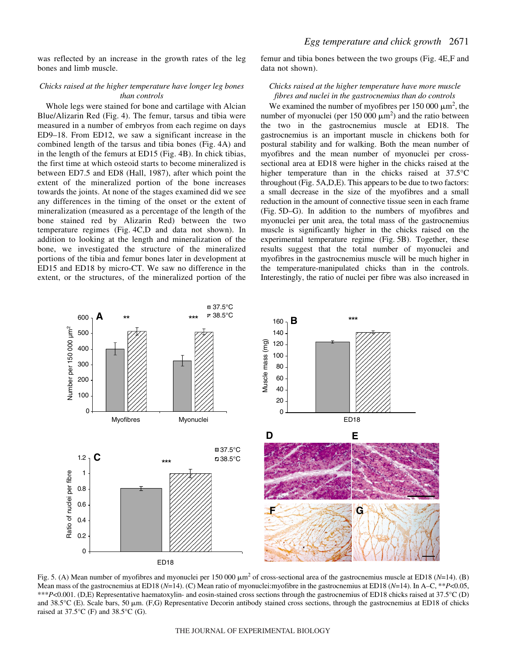was reflected by an increase in the growth rates of the leg bones and limb muscle.

# *Chicks raised at the higher temperature have longer leg bones than controls*

Whole legs were stained for bone and cartilage with Alcian Blue/Alizarin Red (Fig. 4). The femur, tarsus and tibia were measured in a number of embryos from each regime on days ED9–18. From ED12, we saw a significant increase in the combined length of the tarsus and tibia bones (Fig. 4A) and in the length of the femurs at ED15 (Fig. 4B). In chick tibias, the first time at which osteoid starts to become mineralized is between ED7.5 and ED8 (Hall, 1987), after which point the extent of the mineralized portion of the bone increases towards the joints. At none of the stages examined did we see any differences in the timing of the onset or the extent of mineralization (measured as a percentage of the length of the bone stained red by Alizarin Red) between the two temperature regimes (Fig. 4C,D and data not shown). In addition to looking at the length and mineralization of the bone, we investigated the structure of the mineralized portions of the tibia and femur bones later in development at ED15 and ED18 by micro-CT. We saw no difference in the extent, or the structures, of the mineralized portion of the

femur and tibia bones between the two groups (Fig. 4E,F and data not shown).

# *Chicks raised at the higher temperature have more muscle fibres and nuclei in the gastrocnemius than do controls*

We examined the number of myofibres per 150 000  $\mu$ m<sup>2</sup>, the number of myonuclei (per 150 000  $\mu$ m<sup>2</sup>) and the ratio between the two in the gastrocnemius muscle at ED18. The gastrocnemius is an important muscle in chickens both for postural stability and for walking. Both the mean number of myofibres and the mean number of myonuclei per crosssectional area at ED18 were higher in the chicks raised at the higher temperature than in the chicks raised at 37.5°C throughout (Fig. 5A,D,E). This appears to be due to two factors: a small decrease in the size of the myofibres and a small reduction in the amount of connective tissue seen in each frame (Fig.·5D–G). In addition to the numbers of myofibres and myonuclei per unit area, the total mass of the gastrocnemius muscle is significantly higher in the chicks raised on the experimental temperature regime (Fig. 5B). Together, these results suggest that the total number of myonuclei and myofibres in the gastrocnemius muscle will be much higher in the temperature-manipulated chicks than in the controls. Interestingly, the ratio of nuclei per fibre was also increased in



Fig. 5. (A) Mean number of myofibres and myonuclei per 150 000  $\mu$ m<sup>2</sup> of cross-sectional area of the gastrocnemius muscle at ED18 (*N*=14). (B) Mean mass of the gastrocnemius at ED18 (*N*=14). (C) Mean ratio of myonuclei:myofibre in the gastrocnemius at ED18 (*N*=14). In A–C, \*\**P*<0.05, \*\*\**P*<0.001. (D,E) Representative haematoxylin- and eosin-stained cross sections through the gastrocnemius of ED18 chicks raised at 37.5°C (D) and 38.5°C (E). Scale bars, 50  $\mu$ m. (F,G) Representative Decorin antibody stained cross sections, through the gastrocnemius at ED18 of chicks raised at  $37.5^{\circ}$ C (F) and  $38.5^{\circ}$ C (G).

#### THE JOURNAL OF EXPERIMENTAL BIOLOGY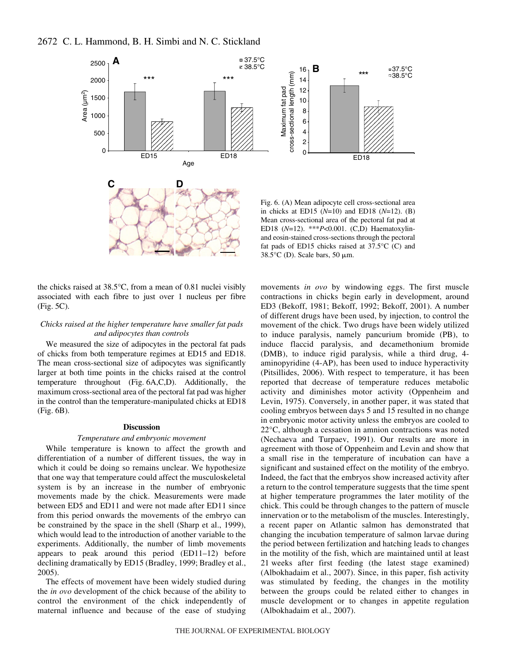

the chicks raised at 38.5°C, from a mean of 0.81 nuclei visibly associated with each fibre to just over 1 nucleus per fibre  $(Fig. 5C)$ .

## *Chicks raised at the higher temperature have smaller fat pads and adipocytes than controls*

We measured the size of adipocytes in the pectoral fat pads of chicks from both temperature regimes at ED15 and ED18. The mean cross-sectional size of adipocytes was significantly larger at both time points in the chicks raised at the control temperature throughout (Fig. 6A,C,D). Additionally, the maximum cross-sectional area of the pectoral fat pad was higher in the control than the temperature-manipulated chicks at ED18  $(Fig. 6B)$ .

#### **Discussion**

#### *Temperature and embryonic movement*

While temperature is known to affect the growth and differentiation of a number of different tissues, the way in which it could be doing so remains unclear. We hypothesize that one way that temperature could affect the musculoskeletal system is by an increase in the number of embryonic movements made by the chick. Measurements were made between ED5 and ED11 and were not made after ED11 since from this period onwards the movements of the embryo can be constrained by the space in the shell (Sharp et al., 1999), which would lead to the introduction of another variable to the experiments. Additionally, the number of limb movements appears to peak around this period (ED11–12) before declining dramatically by ED15 (Bradley, 1999; Bradley et al., 2005).

The effects of movement have been widely studied during the *in ovo* development of the chick because of the ability to control the environment of the chick independently of maternal influence and because of the ease of studying movements *in ovo* by windowing eggs. The first muscle contractions in chicks begin early in development, around ED3 (Bekoff, 1981; Bekoff, 1992; Bekoff, 2001). A number of different drugs have been used, by injection, to control the movement of the chick. Two drugs have been widely utilized to induce paralysis, namely pancurium bromide (PB), to induce flaccid paralysis, and decamethonium bromide (DMB), to induce rigid paralysis, while a third drug, 4 aminopyridine (4-AP), has been used to induce hyperactivity (Pitsillides, 2006). With respect to temperature, it has been reported that decrease of temperature reduces metabolic activity and diminishes motor activity (Oppenheim and Levin, 1975). Conversely, in another paper, it was stated that cooling embryos between days 5 and 15 resulted in no change in embryonic motor activity unless the embryos are cooled to 22°C, although a cessation in amnion contractions was noted (Nechaeva and Turpaev, 1991). Our results are more in agreement with those of Oppenheim and Levin and show that a small rise in the temperature of incubation can have a significant and sustained effect on the motility of the embryo. Indeed, the fact that the embryos show increased activity after a return to the control temperature suggests that the time spent at higher temperature programmes the later motility of the chick. This could be through changes to the pattern of muscle innervation or to the metabolism of the muscles. Interestingly, a recent paper on Atlantic salmon has demonstrated that changing the incubation temperature of salmon larvae during the period between fertilization and hatching leads to changes in the motility of the fish, which are maintained until at least 21 weeks after first feeding (the latest stage examined) (Albokhadaim et al., 2007). Since, in this paper, fish activity was stimulated by feeding, the changes in the motility between the groups could be related either to changes in muscle development or to changes in appetite regulation (Albokhadaim et al., 2007).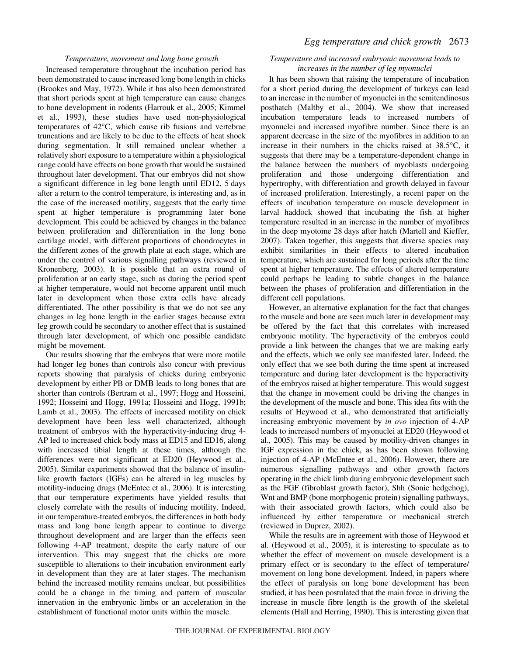## *Temperature, movement and long bone growth*

Increased temperature throughout the incubation period has been demonstrated to cause increased long bone length in chicks (Brookes and May, 1972). While it has also been demonstrated that short periods spent at high temperature can cause changes to bone development in rodents (Harrouk et al., 2005; Kimmel et al., 1993), these studies have used non-physiological temperatures of 42°C, which cause rib fusions and vertebrae truncations and are likely to be due to the effects of heat shock during segmentation. It still remained unclear whether a relatively short exposure to a temperature within a physiological range could have effects on bone growth that would be sustained throughout later development. That our embryos did not show a significant difference in leg bone length until ED12, 5 days after a return to the control temperature, is interesting and, as in the case of the increased motility, suggests that the early time spent at higher temperature is programming later bone development. This could be achieved by changes in the balance between proliferation and differentiation in the long bone cartilage model, with different proportions of chondrocytes in the different zones of the growth plate at each stage, which are under the control of various signalling pathways (reviewed in Kronenberg, 2003). It is possible that an extra round of proliferation at an early stage, such as during the period spent at higher temperature, would not become apparent until much later in development when those extra cells have already differentiated. The other possibility is that we do not see any changes in leg bone length in the earlier stages because extra leg growth could be secondary to another effect that is sustained through later development, of which one possible candidate might be movement.

Our results showing that the embryos that were more motile had longer leg bones than controls also concur with previous reports showing that paralysis of chicks during embryonic development by either PB or DMB leads to long bones that are shorter than controls (Bertram et al., 1997; Hogg and Hosseini, 1992; Hosseini and Hogg, 1991a; Hosseini and Hogg, 1991b; Lamb et al., 2003). The effects of increased motility on chick development have been less well characterized, although treatment of embryos with the hyperactivity-inducing drug 4- AP led to increased chick body mass at ED15 and ED16, along with increased tibial length at these times, although the differences were not significant at ED20 (Heywood et al., 2005). Similar experiments showed that the balance of insulinlike growth factors (IGFs) can be altered in leg muscles by motility-inducing drugs (McEntee et al., 2006). It is interesting that our temperature experiments have yielded results that closely correlate with the results of inducing motility. Indeed, in our temperature-treated embryos, the differences in both body mass and long bone length appear to continue to diverge throughout development and are larger than the effects seen following 4-AP treatment, despite the early nature of our intervention. This may suggest that the chicks are more susceptible to alterations to their incubation environment early in development than they are at later stages. The mechanism behind the increased motility remains unclear, but possibilities could be a change in the timing and pattern of muscular innervation in the embryonic limbs or an acceleration in the establishment of functional motor units within the muscle.

# *Egg temperature and chick growth* 2673

# *Temperature and increased embryonic movement leads to increases in the number of leg myonuclei*

It has been shown that raising the temperature of incubation for a short period during the development of turkeys can lead to an increase in the number of myonuclei in the semitendinosus posthatch (Maltby et al., 2004). We show that increased incubation temperature leads to increased numbers of myonuclei and increased myofibre number. Since there is an apparent decrease in the size of the myofibres in addition to an increase in their numbers in the chicks raised at 38.5°C, it suggests that there may be a temperature-dependent change in the balance between the numbers of myoblasts undergoing proliferation and those undergoing differentiation and hypertrophy, with differentiation and growth delayed in favour of increased proliferation. Interestingly, a recent paper on the effects of incubation temperature on muscle development in larval haddock showed that incubating the fish at higher temperature resulted in an increase in the number of myofibres in the deep myotome 28 days after hatch (Martell and Kieffer, 2007). Taken together, this suggests that diverse species may exhibit similarities in their effects to altered incubation temperature, which are sustained for long periods after the time spent at higher temperature. The effects of altered temperature could perhaps be leading to subtle changes in the balance between the phases of proliferation and differentiation in the different cell populations.

However, an alternative explanation for the fact that changes to the muscle and bone are seen much later in development may be offered by the fact that this correlates with increased embryonic motility. The hyperactivity of the embryos could provide a link between the changes that we are making early and the effects, which we only see manifested later. Indeed, the only effect that we see both during the time spent at increased temperature and during later development is the hyperactivity of the embryos raised at higher temperature. This would suggest that the change in movement could be driving the changes in the development of the muscle and bone. This idea fits with the results of Heywood et al., who demonstrated that artificially increasing embryonic movement by *in ovo* injection of 4-AP leads to increased numbers of myonuclei at ED20 (Heywood et al., 2005). This may be caused by motility-driven changes in IGF expression in the chick, as has been shown following injection of 4-AP (McEntee et al., 2006). However, there are numerous signalling pathways and other growth factors operating in the chick limb during embryonic development such as the FGF (fibroblast growth factor), Shh (Sonic hedgehog), Wnt and BMP (bone morphogenic protein) signalling pathways, with their associated growth factors, which could also be influenced by either temperature or mechanical stretch (reviewed in Duprez, 2002).

While the results are in agreement with those of Heywood et al. (Heywood et al., 2005), it is interesting to speculate as to whether the effect of movement on muscle development is a primary effect or is secondary to the effect of temperature/ movement on long bone development. Indeed, in papers where the effect of paralysis on long bone development has been studied, it has been postulated that the main force in driving the increase in muscle fibre length is the growth of the skeletal elements (Hall and Herring, 1990). This is interesting given that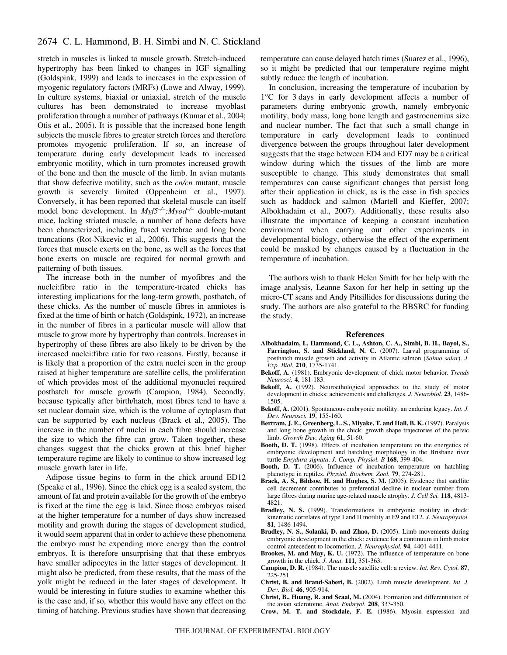stretch in muscles is linked to muscle growth. Stretch-induced hypertrophy has been linked to changes in IGF signalling (Goldspink, 1999) and leads to increases in the expression of myogenic regulatory factors (MRFs) (Lowe and Alway, 1999). In culture systems, biaxial or uniaxial, stretch of the muscle cultures has been demonstrated to increase myoblast proliferation through a number of pathways (Kumar et al., 2004; Otis et al., 2005). It is possible that the increased bone length subjects the muscle fibres to greater stretch forces and therefore promotes myogenic proliferation. If so, an increase of temperature during early development leads to increased embryonic motility, which in turn promotes increased growth of the bone and then the muscle of the limb. In avian mutants that show defective motility, such as the *cn/cn* mutant, muscle growth is severely limited (Oppenheim et al., 1997). Conversely, it has been reported that skeletal muscle can itself model bone development. In *Myf5–/–;Myod–/–* double-mutant mice, lacking striated muscle, a number of bone defects have been characterized, including fused vertebrae and long bone truncations (Rot-Nikcevic et al., 2006). This suggests that the forces that muscle exerts on the bone, as well as the forces that bone exerts on muscle are required for normal growth and patterning of both tissues.

The increase both in the number of myofibres and the nuclei:fibre ratio in the temperature-treated chicks has interesting implications for the long-term growth, posthatch, of these chicks. As the number of muscle fibres in amniotes is fixed at the time of birth or hatch (Goldspink, 1972), an increase in the number of fibres in a particular muscle will allow that muscle to grow more by hypertrophy than controls. Increases in hypertrophy of these fibres are also likely to be driven by the increased nuclei:fibre ratio for two reasons. Firstly, because it is likely that a proportion of the extra nuclei seen in the group raised at higher temperature are satellite cells, the proliferation of which provides most of the additional myonuclei required posthatch for muscle growth (Campion, 1984). Secondly, because typically after birth/hatch, most fibres tend to have a set nuclear domain size, which is the volume of cytoplasm that can be supported by each nucleus (Brack et al., 2005). The increase in the number of nuclei in each fibre should increase the size to which the fibre can grow. Taken together, these changes suggest that the chicks grown at this brief higher temperature regime are likely to continue to show increased leg muscle growth later in life.

Adipose tissue begins to form in the chick around ED12 (Speake et al., 1996). Since the chick egg is a sealed system, the amount of fat and protein available for the growth of the embryo is fixed at the time the egg is laid. Since those embryos raised at the higher temperature for a number of days show increased motility and growth during the stages of development studied, it would seem apparent that in order to achieve these phenomena the embryo must be expending more energy than the control embryos. It is therefore unsurprising that that these embryos have smaller adipocytes in the latter stages of development. It might also be predicted, from these results, that the mass of the yolk might be reduced in the later stages of development. It would be interesting in future studies to examine whether this is the case and, if so, whether this would have any effect on the timing of hatching. Previous studies have shown that decreasing

temperature can cause delayed hatch times (Suarez et al., 1996), so it might be predicted that our temperature regime might subtly reduce the length of incubation.

In conclusion, increasing the temperature of incubation by  $1^{\circ}$ C for 3 days in early development affects a number of parameters during embryonic growth, namely embryonic motility, body mass, long bone length and gastrocnemius size and nuclear number. The fact that such a small change in temperature in early development leads to continued divergence between the groups throughout later development suggests that the stage between ED4 and ED7 may be a critical window during which the tissues of the limb are more susceptible to change. This study demonstrates that small temperatures can cause significant changes that persist long after their application in chick, as is the case in fish species such as haddock and salmon (Martell and Kieffer, 2007; Albokhadaim et al., 2007). Additionally, these results also illustrate the importance of keeping a constant incubation environment when carrying out other experiments in developmental biology, otherwise the effect of the experiment could be masked by changes caused by a fluctuation in the temperature of incubation.

The authors wish to thank Helen Smith for her help with the image analysis, Leanne Saxon for her help in setting up the micro-CT scans and Andy Pitsillides for discussions during the study. The authors are also grateful to the BBSRC for funding the study.

#### **References**

- **Albokhadaim, I., Hammond, C. L., Ashton, C. A., Simbi, B. H., Bayol, S., Farrington, S. and Stickland, N. C.** (2007). Larval programming of posthatch muscle growth and activity in Atlantic salmon (*Salmo salar*). *J. Exp. Biol.* **210**, 1735-1741.
- **Bekoff, A.** (1981). Embryonic development of chick motor behavior. *Trends Neurosci.* **4**, 181-183.
- **Bekoff, A.** (1992). Neuroethological approaches to the study of motor development in chicks: achievements and challenges. *J. Neurobiol.* **23**, 1486- 1505.
- **Bekoff, A.** (2001). Spontaneous embryonic motility: an enduring legacy. *Int. J. Dev. Neurosci.* **19**, 155-160.
- **Bertram, J. E., Greenberg, L. S., Miyake, T. and Hall, B. K.** (1997). Paralysis and long bone growth in the chick: growth shape trajectories of the pelvic limb. *Growth Dev. Aging* **61**, 51-60.
- **Booth, D. T.** (1998). Effects of incubation temperature on the energetics of embryonic development and hatchling morphology in the Brisbane river turtle *Emydura signata*. *J. Comp. Physiol. B* **168**, 399-404.
- **Booth, D. T.** (2006). Influence of incubation temperature on hatchling phenotype in reptiles. *Physiol. Biochem. Zool.* **79**, 274-281.
- **Brack, A. S., Bildsoe, H. and Hughes, S. M.** (2005). Evidence that satellite cell decrement contributes to preferential decline in nuclear number from large fibres during murine age-related muscle atrophy. *J. Cell Sci.* **118**, 4813- 4821.
- **Bradley, N. S.** (1999). Transformations in embryonic motility in chick: kinematic correlates of type I and II motility at E9 and E12. *J. Neurophysiol.* **81**, 1486-1494.
- **Bradley, N. S., Solanki, D. and Zhao, D.** (2005). Limb movements during embryonic development in the chick: evidence for a continuum in limb motor control antecedent to locomotion. *J. Neurophysiol.* **94**, 4401-4411.
- **Brookes, M. and May, K. U.** (1972). The influence of temperature on bone growth in the chick. *J. Anat.* **111**, 351-363.
- **Campion, D. R.** (1984). The muscle satellite cell: a review. *Int. Rev. Cytol.* **87**, 225-251.
- **Christ, B. and Brand-Saberi, B.** (2002). Limb muscle development. *Int. J. Dev. Biol.* **46**, 905-914.
- **Christ, B., Huang, R. and Scaal, M.** (2004). Formation and differentiation of the avian sclerotome. *Anat. Embryol.* **208**, 333-350.
- **Crow, M. T. and Stockdale, F. E.** (1986). Myosin expression and